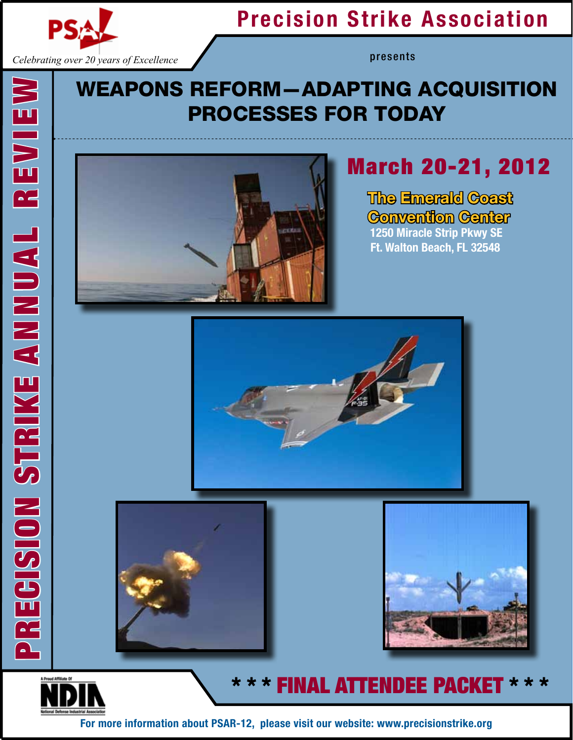

*Celebrating over 20 years of Excellence*

# Precision Strike Association

presents

## Weapons Reform—Adapting Acquisition Processes for Today



# March 20-21, 2012

The Emerald Coast Convention Center 1250 Miracle Strip Pkwy SE Ft. Walton Beach, FL 32548







## \* \* \* FINAL ATTENDEE PACKET

For more information about PSAR-12, please visit our website: www.precisionstrike.org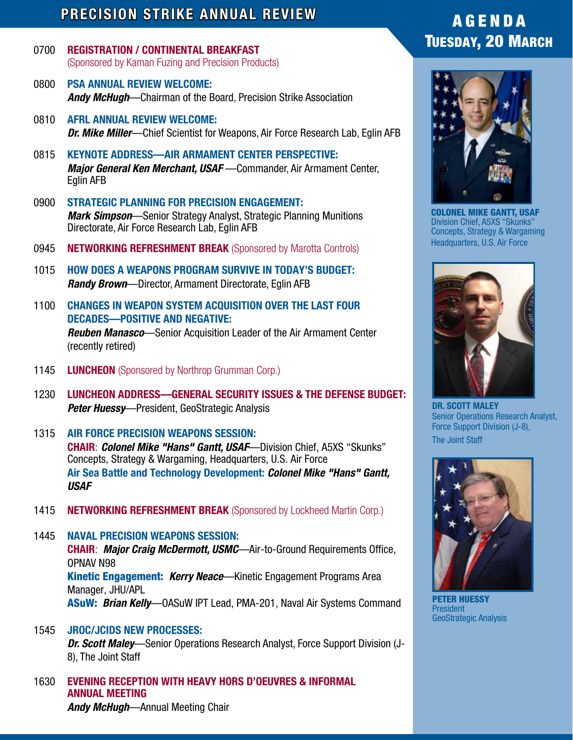### PRECISION STRIKE ANNUAL REVIEW

- 0700 REGISTRATION / CONTINENTAL BREAKFAST (sponsored by Kaman Fuzing and Precision Products)
- 0800 PSA ANNUAL REVIEW WELCOME: *Andy McHugh*—Chairman of the Board, Precision Strike Association
- 0810 AFRL ANNUAL REVIEW WELCOME: *Dr. Mike Miller*—Chief Scientist for Weapons, Air Force Research Lab, Eglin AFB
- 0815 KEYNOTE ADDRESS—AIR ARMAMENT CENTER PERSPECTIVE: *Major General Ken Merchant, USAF* —Commander, Air Armament Center, Eglin AFB
- 0900 STRATEGIC PLANNING FOR PRECISION ENGAGEMENT: *Mark Simpson*—Senior Strategy Analyst, Strategic Planning Munitions Directorate, Air Force Research Lab, Eglin AFB
- 0945 NETWORKING REFRESHMENT BREAK (Sponsored by Marotta Controls)
- 1015 HOW DOES A WEAPONS PROGRAM SURVIVE IN TODAY'S BUDGET: *Randy Brown*—Director, Armament Directorate, Eglin AFB
- 1100 CHANGES IN WEAPON SYSTEM ACQUISITION OVER THE LAST FOUR DECADES—POSITIVE AND NEGATIVE: *Reuben Manasco*—Senior Acquisition Leader of the Air Armament Center (recently retired)
- 1145 **LUNCHEON** (Sponsored by Northrop Grumman Corp.)
- 1230 LUNCHEON ADDRESS—GENERAL SECURITY ISSUES & THE DEFENSE BUDGET: *Peter Huessy*—President, GeoStrategic Analysis
- 1315 AIR FORCE PRECISION WEAPONS SESSION: CHAIR: *Colonel Mike "Hans" Gantt, USAF*—Division Chief, A5XS "Skunks" Concepts, Strategy & Wargaming, Headquarters, U.S. Air Force Air Sea Battle and Technology Development: *Colonel Mike "Hans" Gantt, USAF*
- 1415 NETWORKING REFRESHMENT BREAK (Sponsored by Lockheed Martin Corp.)

1445 NAVAL PRECISION WEAPONS SESSION: CHAIR: *Major Craig McDermott, USMC*—Air-to-Ground Requirements Office, OPNAV N98 Kinetic Engagement: *Kerry Neace*—Kinetic Engagement Programs Area Manager, JHU/APL ASuW: *Brian Kelly*—OASuW IPT Lead, PMA-201, Naval Air Systems Command

- 1545 JROC/JCIDS New processes: *Dr. Scott Maley*—Senior Operations Research Analyst, Force Support Division (J-8), The Joint Staff
- 1630 EVENING RECEPTION WITH HEAVY HORS D'OEUVRES & INFORMAL ANNUAL MEETING *Andy McHugh*—Annual Meeting Chair

## A G E N D A Tuesday, 20 March



Colonel MIKE Gantt, USAF Division Chief, A5XS "Skunks" Concepts, Strategy & Wargaming Headquarters, U.S. Air Force



DR. SCOTT MALEY Senior Operations Research Analyst, Force Support Division (J-8), The Joint Staff



Peter Huessy President GeoStrategic Analysis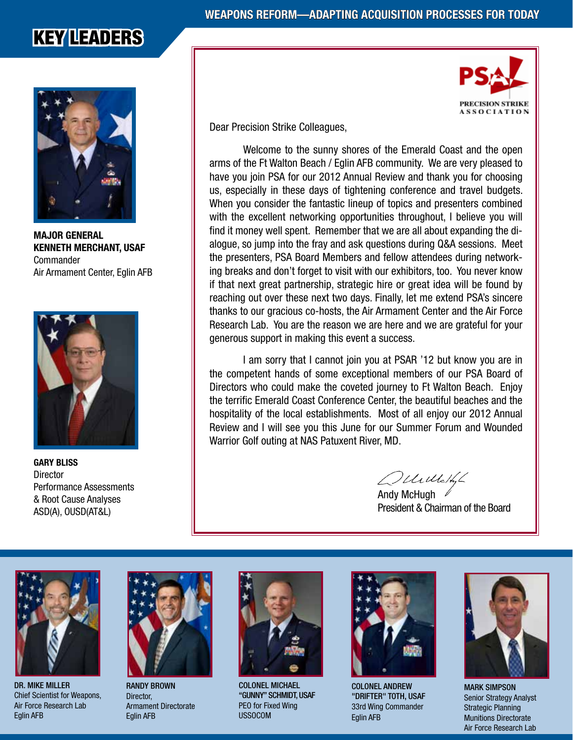## KEY LEADERS



Major General Kenneth Merchant, USAF **Commander** Air Armament Center, Eglin AFB



GARY BLISS **Director** Performance Assessments & Root Cause Analyses ASD(A), OUSD(AT&L)



Dear Precision Strike Colleagues,

Welcome to the sunny shores of the Emerald Coast and the open arms of the Ft Walton Beach / Eglin AFB community. We are very pleased to have you join PSA for our 2012 Annual Review and thank you for choosing us, especially in these days of tightening conference and travel budgets. When you consider the fantastic lineup of topics and presenters combined with the excellent networking opportunities throughout, I believe you will find it money well spent. Remember that we are all about expanding the dialogue, so jump into the fray and ask questions during Q&A sessions. Meet the presenters, PSA Board Members and fellow attendees during networking breaks and don't forget to visit with our exhibitors, too. You never know if that next great partnership, strategic hire or great idea will be found by reaching out over these next two days. Finally, let me extend PSA's sincere thanks to our gracious co-hosts, the Air Armament Center and the Air Force Research Lab. You are the reason we are here and we are grateful for your generous support in making this event a success.

I am sorry that I cannot join you at PSAR '12 but know you are in the competent hands of some exceptional members of our PSA Board of Directors who could make the coveted journey to Ft Walton Beach. Enjoy the terrific Emerald Coast Conference Center, the beautiful beaches and the hospitality of the local establishments. Most of all enjoy our 2012 Annual Review and I will see you this June for our Summer Forum and Wounded Warrior Golf outing at NAS Patuxent River, MD.

Velilletti

Andy McHugh  $\mathscr N$ President & Chairman of the Board



Dr. Mike Miller Chief Scientist for Weapons, Air Force Research Lab Eglin AFB



Randy Brown Director, Armament Directorate Eglin AFB



Colonel Michael "Gunny" Schmidt, USAF PEO for Fixed Wing USSOCOM



Colonel Andrew "DRIFTER" TOTH, USAF 33rd Wing Commander Eglin AFB



**MARK SIMPSON** Senior Strategy Analyst Strategic Planning Munitions Directorate Air Force Research Lab